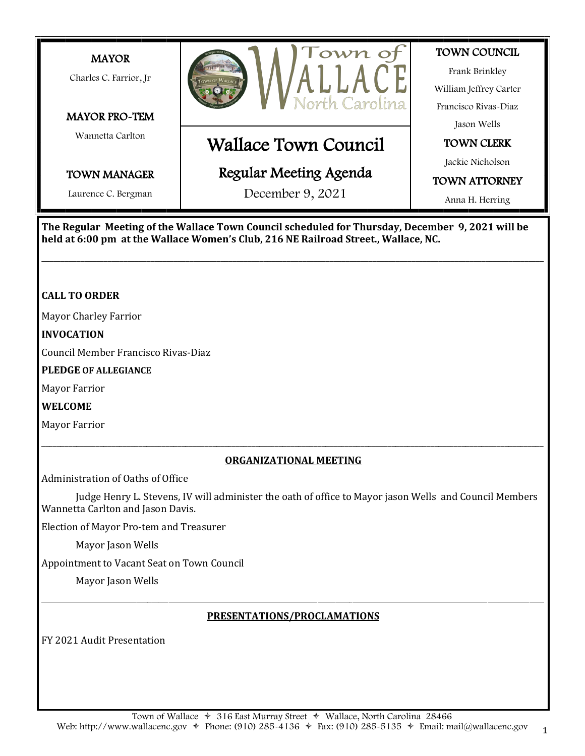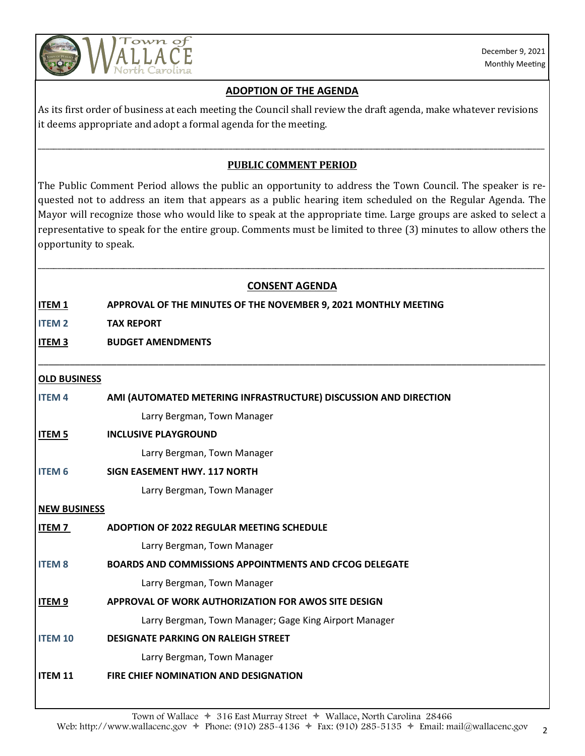

# **ADOPTION OF THE AGENDA**

As its first order of business at each meeting the Council shall review the draft agenda, make whatever revisions it deems appropriate and adopt a formal agenda for the meeting.

# **PUBLIC COMMENT PERIOD**

\_\_\_\_\_\_\_\_\_\_\_\_\_\_\_\_\_\_\_\_\_\_\_\_\_\_\_\_\_\_\_\_\_\_\_\_\_\_\_\_\_\_\_\_\_\_\_\_\_\_\_\_\_\_\_\_\_\_\_\_\_\_\_\_\_\_\_\_\_\_\_\_\_\_\_\_\_\_\_\_\_\_\_\_\_\_\_\_\_\_\_\_\_\_\_\_\_\_\_\_\_\_\_\_\_\_\_\_\_\_\_\_\_\_\_\_\_\_\_\_\_\_\_\_\_\_\_\_\_\_

The Public Comment Period allows the public an opportunity to address the Town Council. The speaker is requested not to address an item that appears as a public hearing item scheduled on the Regular Agenda. The Mayor will recognize those who would like to speak at the appropriate time. Large groups are asked to select a representative to speak for the entire group. Comments must be limited to three (3) minutes to allow others the opportunity to speak.

## **CONSENT AGENDA**

\_\_\_\_\_\_\_\_\_\_\_\_\_\_\_\_\_\_\_\_\_\_\_\_\_\_\_\_\_\_\_\_\_\_\_\_\_\_\_\_\_\_\_\_\_\_\_\_\_\_\_\_\_\_\_\_\_\_\_\_\_\_\_\_\_\_\_\_\_\_\_\_\_\_\_\_\_\_\_\_\_\_\_\_\_\_\_\_\_\_\_\_\_\_\_\_\_

\_\_\_\_\_\_\_\_\_\_\_\_\_\_\_\_\_\_\_\_\_\_\_\_\_\_\_\_\_\_\_\_\_\_\_\_\_\_\_\_\_\_\_\_\_\_\_\_\_\_\_\_\_\_\_\_\_\_\_\_\_\_\_\_\_\_\_\_\_\_\_\_\_\_\_\_\_\_\_\_\_\_\_\_\_\_\_\_\_\_\_\_\_\_\_\_\_\_\_\_\_\_\_\_\_\_\_\_\_\_\_\_\_\_\_\_\_\_\_\_\_\_\_\_\_\_\_\_\_\_

**ITEM 1 APPROVAL OF THE MINUTES OF THE NOVEMBER 9, 2021 MONTHLY MEETING** 

**ITEM 2 TAX REPORT**

**ITEM 3 BUDGET AMENDMENTS**

### **OLD BUSINESS**

| <b>ITEM4</b>        | AMI (AUTOMATED METERING INFRASTRUCTURE) DISCUSSION AND DIRECTION |
|---------------------|------------------------------------------------------------------|
|                     | Larry Bergman, Town Manager                                      |
| <b>ITEM 5</b>       | <b>INCLUSIVE PLAYGROUND</b>                                      |
|                     | Larry Bergman, Town Manager                                      |
| <b>ITEM 6</b>       | SIGN EASEMENT HWY, 117 NORTH                                     |
|                     | Larry Bergman, Town Manager                                      |
| <b>NEW BUSINESS</b> |                                                                  |
| ITEM 7              | <b>ADOPTION OF 2022 REGULAR MEETING SCHEDULE</b>                 |
|                     | Larry Bergman, Town Manager                                      |
| <b>ITEM 8</b>       | <b>BOARDS AND COMMISSIONS APPOINTMENTS AND CFCOG DELEGATE</b>    |
|                     | Larry Bergman, Town Manager                                      |
| <b>ITEM 9</b>       | APPROVAL OF WORK AUTHORIZATION FOR AWOS SITE DESIGN              |
|                     | Larry Bergman, Town Manager; Gage King Airport Manager           |
| <b>ITEM 10</b>      | <b>DESIGNATE PARKING ON RALEIGH STREET</b>                       |
|                     | Larry Bergman, Town Manager                                      |

**ITEM 11 FIRE CHIEF NOMINATION AND DESIGNATION**